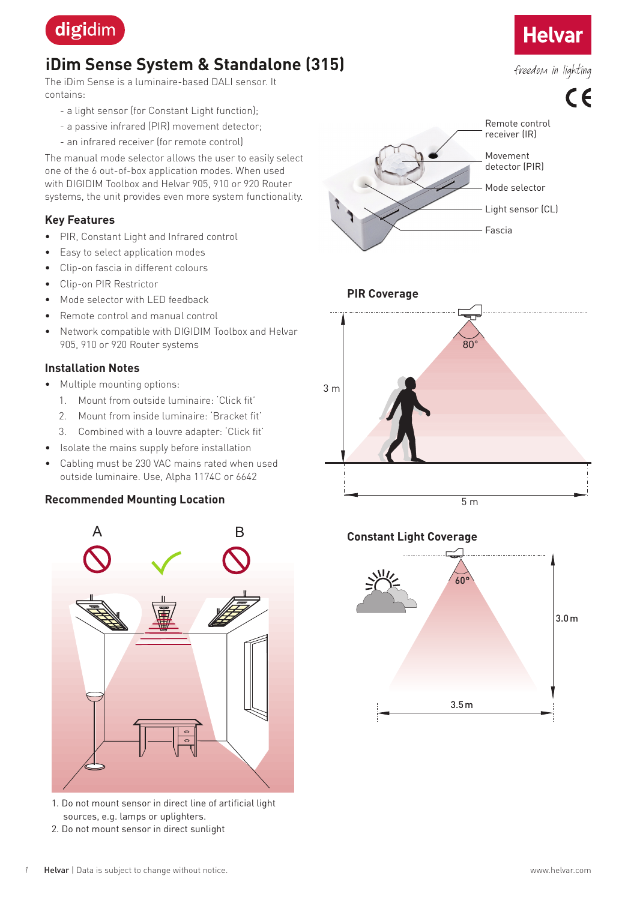

# **iDim Sense System & Standalone (315)**

The iDim Sense is a luminaire-based DALI sensor. It contains:

- a light sensor (for Constant Light function);
- a passive infrared (PIR) movement detector;
- an infrared receiver (for remote control)

The manual mode selector allows the user to easily select one of the 6 out-of-box application modes. When used with DIGIDIM Toolbox and Helvar 905, 910 or 920 Router systems, the unit provides even more system functionality.

#### **Key Features**

- PIR, Constant Light and Infrared control
- Easy to select application modes
- Clip-on fascia in different colours
- Clip-on PIR Restrictor
- Mode selector with LED feedback
- Remote control and manual control
- Network compatible with DIGIDIM Toolbox and Helvar 905, 910 or 920 Router systems

### **Installation Notes**

- Multiple mounting options:
	- 1. Mount from outside luminaire: 'Click fit'
	- 2. Mount from inside luminaire: 'Bracket fit'
	- 3. Combined with a louvre adapter: 'Click fit'
- Isolate the mains supply before installation
- Cabling must be 230 VAC mains rated when used outside luminaire. Use, Alpha 1174C or 6642

#### **Recommended Mounting Location**



- 1. Do not mount sensor in direct line of artificial light sources, e.g. lamps or uplighters.
- 2. Do not mount sensor in direct sunlight



**Helvar** 

freedom in lighting





# **Constant Light Coverage**